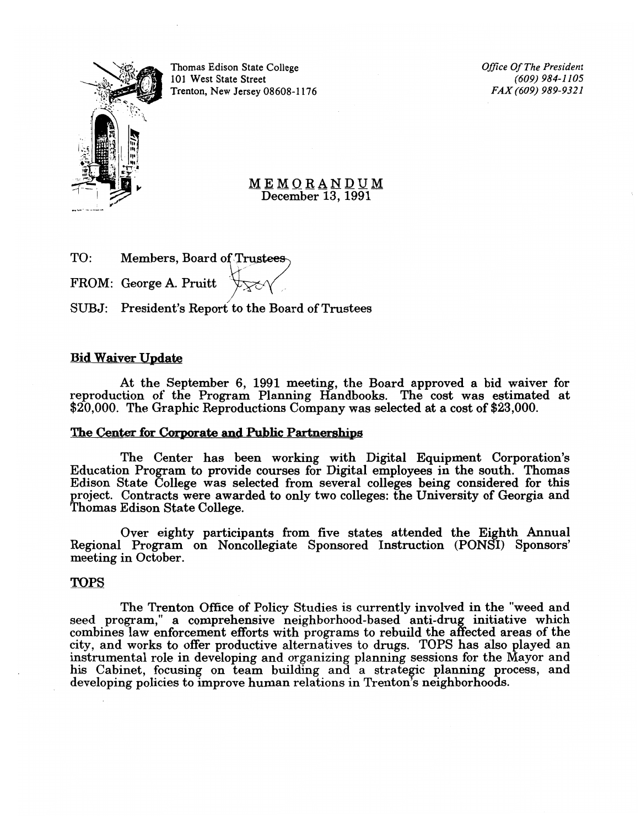Thomas Edison State College *Office a/The President*  10 1 West State Street *(609) 984-1105*  Trenton, New Jersey 08608-1176 *FAX (609) 989-9321* 

MEMQRANDUM December 13, 1991

| TO: | Members, Board of Trustees |      |
|-----|----------------------------|------|
|     | FROM: George A. Pruitt     | trar |
|     |                            |      |

SUBJ: President's Report to the Board of Trustees

# Bid Waiver Update

At the September 6, 1991 meeting, the Board approved a bid waiver for reproduction of the Program Planning Handbooks. The cost was estimated at \$20,000. The Graphic Reproductions Company was selected at a cost of \$23,000.

# The Center for Corporate and Public Partnerships

The Center has been working with Digital Equipment Corporation's Education Program to provide courses for Digital employees in the south. Thomas Edison State College was selected from several colleges being considered for this project. Contracts were awarded to only two colleges: the University of Georgia and Thomas Edison State College.

Over eighty participants from five states attended the Eighth Annual Regional Program on Noncollegiate Sponsored Instruction (PONSI) Sponsors' meeting in October.

# TOPS

The Trenton Office of Policy Studies is currently involved in the "weed and seed program," a comprehensive neighborhood-based anti-drug initiative which combines law enforcement efforts with programs to rebuild the affected areas of the city, and works to offer productive alternatives to drugs. TOPS has a1so played an instrumental role in developing and organizing planning sessions for the Mayor and his Cabinet, focusing on team building and a strategic planning process, and developing policies to improve human relations in Trenton's neighborhoods.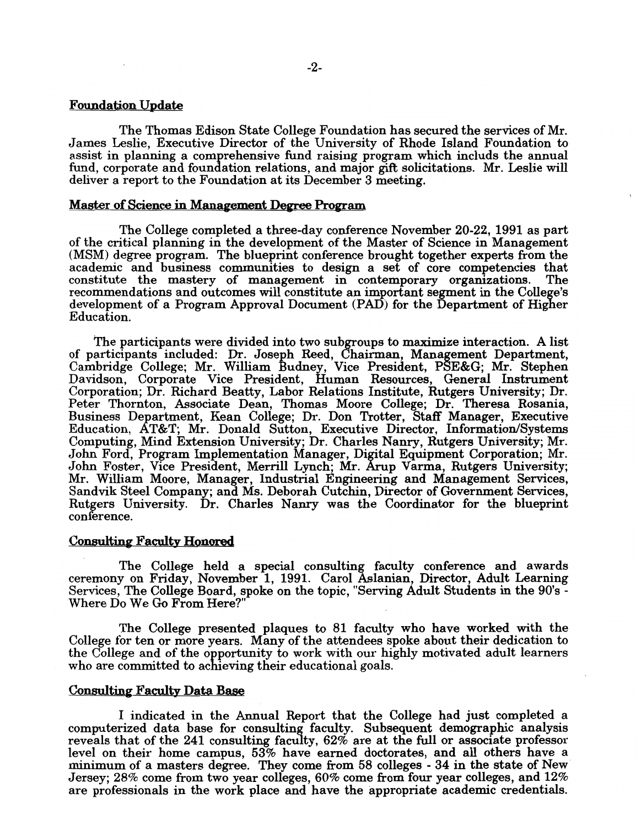## Foundation Update

The Thomas Edison State College Foundation has secured the services of Mr. James Leslie, Executive Director of the University of Rhode Island Foundation to assist in planning a comprehensive fund raising program which includs the annual fund, corporate and foundation relations, and major gift solicitations. Mr. Leslie will deliver a report to the Foundation at its December 3 meeting.

### Master of Science in Management Degree Program

The College completed a three-day conference November 20-22,1991 as part of the critical planning in the development of the Master of Science in Management (MSM) degree program. The blueprint conference brought together experts from the academic and business communities to design a set of core competencies that constitute the mastery of management in contemporary organizations. The recommendations and outcomes will constitute an important segment in the College's development of a Program Approval Document (PAD) for the Department of Higher Education.

The participants were divided into two subgroups to maximize interaction. A list of participants included: Dr. Joseph Reed, Chairman, Management Department, Cambridge College; Mr. William Budney, Vice President, PSE&G; Mr. Stephen Davidson, Corporate Vice President, Human Resources, General Instrument Corporation; Dr. Richard Beatty, Labor Relations Institute, Rutgers University; Dr. Peter Thornton, Associate Dean, Thomas Moore College; Dr. Theresa Rosania, Business Department, Kean College; Dr. Don Trotter, Staff Manager, Executive Education, AT&T; Mr. Donald Sutton, Executive Director, Information/Systems Computing, Mind Extension University; Dr. Charles Nanry, Rutgers University; Mr. John Ford, Program Implementation Manager, Digital Equipment Corporation; Mr. John Foster, Vice President, Merrill Lynch; Mr. Arup Varma, Rutgers University; Mr. William Moore, Manager, Industrial Engineering and Management Services, Sandvik Steel Company; and Ms. Deborah Cutchin, Director of Government Services, Rutgers University. Dr. Charles Nanry was the Coordinator for the blueprint conference.

### Consulting Faculty Honored

The College held a special consulting faculty conference and awards ceremony on Friday, November 1, 1991. Carol Aslanian, Director, Adult Learning Services, The College Board, spoke on the topic, "Serving Adult Students in the 90's -<br>Where Do We Go From Here?"

The College presented plaques to 81 faculty who have worked with the College for ten or more years. Many of the attendees spoke about their dedication to the College and of the opportunity to work with our highly motivated adult learners who are committed to achieving their educational goals.

#### Consulting Faculty Data Base

I indicated in the Annual Report that the College had just completed a computerized data base for consulting faculty. Subsequent demographic analysis reveals that of the 241 consulting faculty, 62% are at the full or associate professor level on their home campus, 53% have earned doctorates, and all others have a minimum of a masters degree. They come from 58 colleges - 34 in the state of New Jersey; 28% come from two year colleges, 60% come from four year colleges, and 12% are professionals in the work place and have the appropriate academic credentials.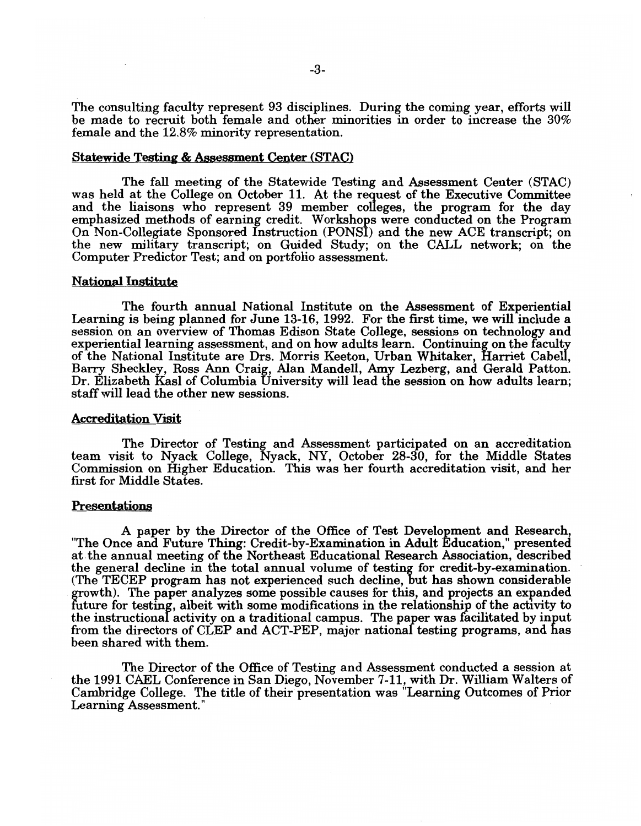The consulting faculty represent 93 disciplines. During the coming year, efforts will be made to recruit both female and other minorities in order to increase the 30% female and the 12.8% minority representation.

### Statewide Testing & Assessment Center (STAC)

The fall meeting of the Statewide Testing and Assessment Center (STAC) was held at the College on October 11. At the request of the Executive Committee and the liaisons who represent 39 member colleges, the program for the day emphasized methods of earning credit. Workshops were conducted on the Program On Non-Collegiate Sponsored Instruction (PONSI) and the new ACE transcript; on the new military transcript; on Guided Study; on the CALL network; on the Computer Predictor Test; and on portfolio assessment.

## **National Institute**

The fourth annual National Institute on the Assessment of Experiential Learning is being planned for June 13-16, 1992. For the first time, we will include a session on an overview of Thomas Edison State College, sessions on technology and experiential learning assessment, and on how adults learn. Continuing on the faculty of the National Institute are Drs. Morris Keeton, Urban Whitaker, Harriet Cabell, Barry Sheckley, Ross Ann Craig, Alan Mandell, Amy Lezberg, and Gerald Patton. Dr. Elizabeth Kasl of Columbia University will lead the session on how adults learn; staffwill lead the other new sessions.

#### Accreditation Visit

The Director of Testing and Assessment participated on an accreditation team visit to Nyack College, Nyack, NY, October 28-30, for the Middle States Commission on Higher Education. This was her fourth accreditation visit, and her first for Middle States.

### Presentations

A paper by the Director of the Office of Test Development and Research, "The Once and Future Thing: Credit-by-Examination in Adult Education," presented at the annual meeting of the Northeast Educational Research Association, described the general decline in the total annual volume of testing for credit-by-examination. (The TECEP program has not experienced such decline, but has shown considerable growth). The paper analyzes some possible causes for this, and projects an expanded future for testing, albeit with some modifications in the relationship of the activity to the instructional activity on a traditional campus. The paper was facilitated by input from the directors of CLEP and ACT-PEP, major national testing programs, and has been shared with them.

The Director of the Office of Testing and Assessment conducted a session at the 1991 CAEL Conference in San Diego, November 7-11, with Dr. William Walters of Cambridge College. The title of their' presentation was "Learning Outcomes of Prior Learning Assessment."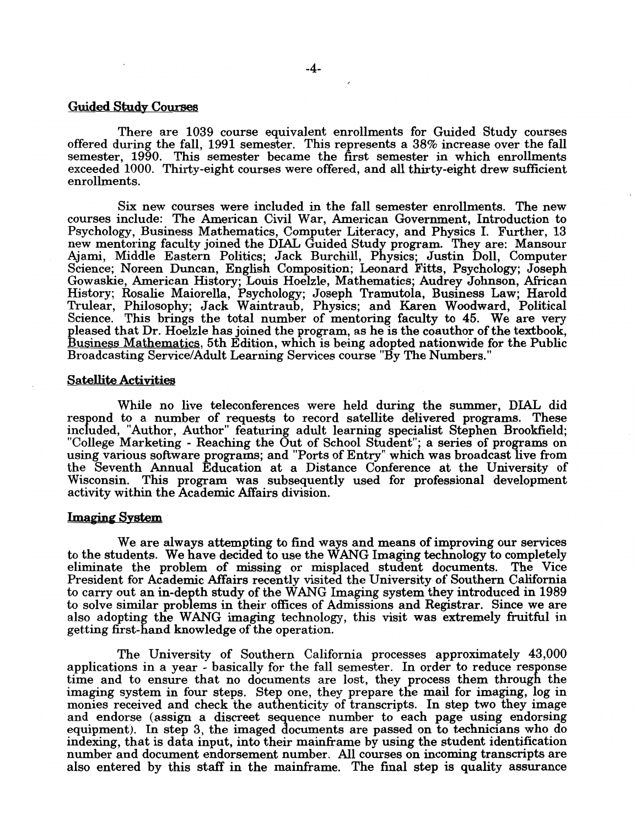### Guided Study Courses

There are 1039 course equivalent enrollments for Guided Study courses offered during the fall, 1991 semester. This represents a 38% increase over the fall semester, 1990. This semester became the first semester in which enrollments exceeded 1000. Thirty-eight courses were offered, and all thirty-eight drew sufficient enrollments.

Six new courses were included in the fall semester enrollments. The new courses include: The American Civil War, American Government, Introduction to Psychology, Business Mathematics, Computer Literacy, and Physics I. Further, 13 new mentoring faculty joined the DIAL Guided Study program. They are: Mansour Ajami, Middle Eastern Politics; Jack Burchill, Physics; Justin Doll, Computer Science; Noreen Duncan, English Composition; Leonard Fitts, Psychology; Joseph Gowaskie, American History; Louis Hoelzle, Mathematics; Audrey Johnson, African History; Rosalie Maiorella, Psychology; Joseph Tramutola, Business Law; Harold Trulear, Philosophy; Jack Waintraub, Physics; and Karen Woodward, Political Science. This brings the total number of mentoring faculty to 45. We are very pleased that Dr. Hoelzle has joined the program, as he is the coauthor of the textbook, Business Mathematics, 5th Edition, which is being adopted nationwide for the Public Broadcasting Service/Adult Learning Services course "By The Numbers."

#### Satellite Activities

While no live teleconferences were held during the summer, DIAL did respond to a number of requests to record satellite delivered programs. These included, "Author, Author" featuring adult learning specialist Stephen Brookfield; "College Marketing - Reaching the Out of School Student"; a series of programs on using various software programs; and "Ports of Entry" which was broadcast live from the Seventh Annual Education at a Distance Conference at the University of Wisconsin. This program was subsequently used for professional development activity within the Academic Affairs division.

#### Imaging System

We are always attempting to find ways and means of improving our services to the students. We have decided to use the WANG Imaging technology to completely eliminate the problem of missing or misplaced student documents. The Vice President for Academic Affairs recently visited the University of Southern California to carry out an in-depth study of the WANG Imaging system they introduced in 1989 to solve similar problems in their offices of Admissions and Registrar. Since we are also adopting the WANG imaging technology, this visit was extremely fruitful in getting first-hand knowledge of the operation.

The University of Southern California processes approximately 43,000 applications in a year - basically for the fall semester. In order to reduce response time and to ensure that no documents are lost, they process them through the imaging system in four steps. Step one, they prepare the mail for imaging, log in monies received and check the authenticity of transcripts. In step two they image and endorse (assign a discreet sequence number to each page using endorsing equipment). In step 3, the imaged documents are passed on to technicians who do indexing, that is data input, into their mainframe by using the student identification number and document endorsement number. All courses on incoming transcripts are also entered by this staff in the mainframe. The final step is quality assurance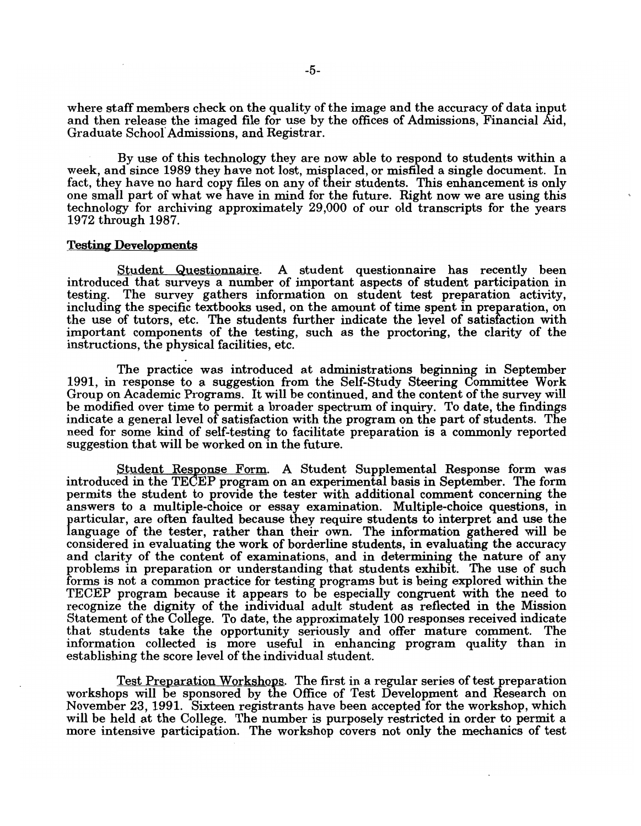where staff members check on the quality of the image and the accuracy of data input and then release the imaged file for use by the offices of Admissions, Financial Aid, Graduate Schoof Admissions, and Registrar.

By use of this technology they are now able to respond to students within a week, and since 1989 they have not lost, misplaced, or misfiled a single document. In fact, they have no hard copy files on any of their students. This enhancement is only one small part of what we have in mind for the future. Right now we are using this technology for archiving approximately 29,000 of our old transcripts for the years 1972 through 1987.

#### Testing Developments

Student Questionnaire. A student questionnaire has recently been introduced that surveys a number of important aspects of student participation in The survey gathers information on student test preparation activity, including the specific textbooks used, on the amount of time spent in preparation, on the use of tutors, etc. The students further indicate the level of satisfaction with important components of the testing, such as the proctoring, the clarity of the

The practice was introduced at administrations beginning in September 1991, in response to a suggestion from the Self-Study Steering Committee Work Group on Academic Programs. It will be continued, and the content of the survey will be modified over time to permit a broader spectrum of inquiry. To date, the findings indicate a general level of satisfaction with the program on the part of students. The need for some kind of self-testing to facilitate preparation is a commonly reported suggestion that will be worked on in the future.

Student Response Form. A Student Supplemental Response form was introduced in the TECEP program on an experimental basis in September. The form permits the student to provide the tester with additional comment concerning the answers to a multiple-choice or essay examination. Multiple-choice questions, in particular, are often faulted because they require students to interpret and use the language of the tester, rather than their own. The information gathered will be considered in evaluating the work of borderline students, in evaluating the accuracy and clarity of the content of examinations, and in determining the nature of any problems in preparation or understanding that students exhibit. The use of such forms is not a common practice for testing programs but is being explored within the TECEP program because it appears to be especially congruent with the need to recognize the dignity of the individual adult student as reflected in the Mission Statement of the College. To date, the approximately 100 responses received indicate that students take the opportunity seriously and offer mature comment. The information collected is more useful in enhancing program quality than in establishing the score level of the individual student.

Test Preparation Workshops. The first in a regular series of test preparation workshops will be sponsored by the Office of Test Development and Research on November 23, 1991. Sixteen registrants have been accepted for the workshop, which will be held at the College. The number is purposely restricted in order to permit a more intensive participation. The workshop covers not only the mechanics of test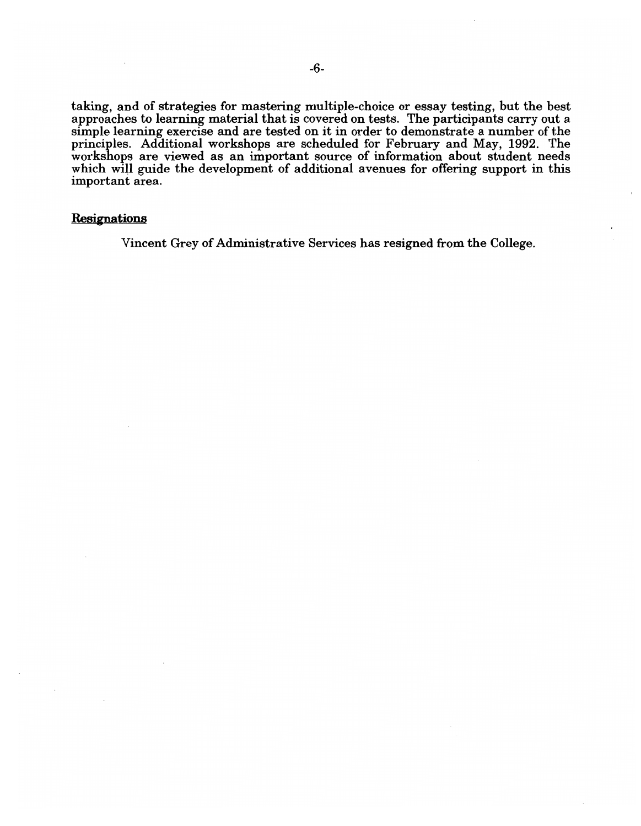taking, and of strategies for mastering multiple-choice or essay testing, hut the best approaches to learning material that is covered on tests. The participants carry out a simple learning exercise and are tested on it in order to demonstrate a number of the principles. Additional workshops are scheduled for February and May, 1992. The workshops are viewed as an important source of information about student needs which will guide the development of additional avenues for offering support in this important area.

## **Resignations**

Vincent Grey of Administrative Services has resigned from the College.